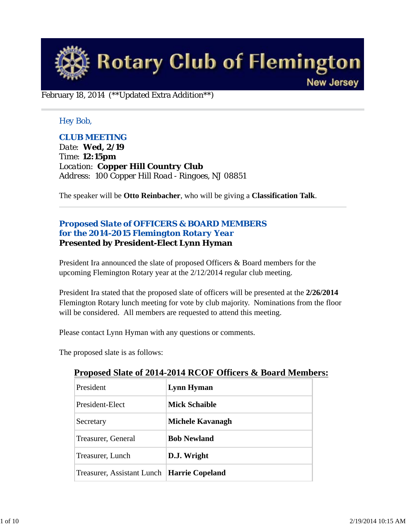

February 18, 2014 (\*\*Updated Extra Addition\*\*)

## *Hey Bob,*

## *CLUB MEETING*

*Date: Wed, 2/19 Time: 12:15pm Location: Copper Hill Country Club Address: 100 Copper Hill Road - Ringoes, NJ 08851*

The speaker will be **Otto Reinbacher**, who will be giving a **Classification Talk**.

## *Proposed Slate of OFFICERS & BOARD MEMBERS for the 2014-2015 Flemington Rotary Year* **Presented by President-Elect Lynn Hyman**

President Ira announced the slate of proposed Officers & Board members for the upcoming Flemington Rotary year at the 2/12/2014 regular club meeting.

President Ira stated that the proposed slate of officers will be presented at the **2/26/2014** Flemington Rotary lunch meeting for vote by club majority. Nominations from the floor will be considered. All members are requested to attend this meeting.

Please contact Lynn Hyman with any questions or comments.

The proposed slate is as follows:

| President                                    | Lynn Hyman           |
|----------------------------------------------|----------------------|
| President-Elect                              | <b>Mick Schaible</b> |
| Secretary                                    | Michele Kavanagh     |
| Treasurer, General                           | <b>Bob Newland</b>   |
| Treasurer, Lunch                             | D.J. Wright          |
| Treasurer, Assistant Lunch   Harrie Copeland |                      |

## **Proposed Slate of 2014-2014 RCOF Officers & Board Members:**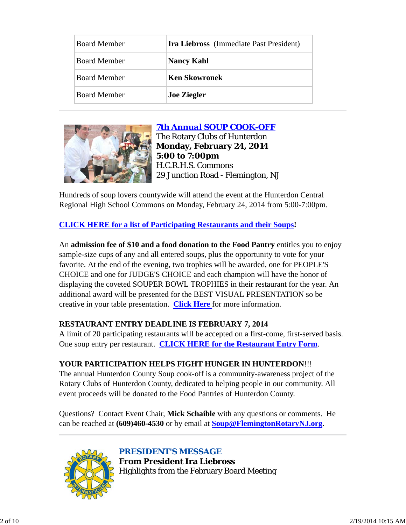| <b>Board Member</b> | <b>Ira Liebross</b> (Immediate Past President) |
|---------------------|------------------------------------------------|
| <b>Board Member</b> | <b>Nancy Kahl</b>                              |
| <b>Board Member</b> | <b>Ken Skowronek</b>                           |
| <b>Board Member</b> | <b>Joe Ziegler</b>                             |



# *7th Annual SOUP COOK-OFF*

The Rotary Clubs of Hunterdon **Monday, February 24, 2014 5:00 to 7:00pm** H.C.R.H.S. Commons 29 Junction Road - Flemington, NJ

Hundreds of soup lovers countywide will attend the event at the Hunterdon Central Regional High School Commons on Monday, February 24, 2014 from 5:00-7:00pm.

**CLICK HERE for a list of Participating Restaurants and their Soups!**

An **admission fee of \$10 and a food donation to the Food Pantry** entitles you to enjoy sample-size cups of any and all entered soups, plus the opportunity to vote for your favorite. At the end of the evening, two trophies will be awarded, one for PEOPLE'S CHOICE and one for JUDGE'S CHOICE and each champion will have the honor of displaying the coveted SOUPER BOWL TROPHIES in their restaurant for the year. An additional award will be presented for the BEST VISUAL PRESENTATION so be creative in your table presentation. **Click Here** for more information.

## **RESTAURANT ENTRY DEADLINE IS FEBRUARY 7, 2014**

A limit of 20 participating restaurants will be accepted on a first-come, first-served basis. One soup entry per restaurant. **CLICK HERE for the Restaurant Entry Form**.

# **YOUR PARTICIPATION HELPS FIGHT HUNGER IN HUNTERDON**!!!

The annual Hunterdon County Soup cook-off is a community-awareness project of the Rotary Clubs of Hunterdon County, dedicated to helping people in our community. All event proceeds will be donated to the Food Pantries of Hunterdon County.

Questions? Contact Event Chair, **Mick Schaible** with any questions or comments. He can be reached at **(609)460-4530** or by email at **Soup@FlemingtonRotaryNJ.org**.



*PRESIDENT'S MESSAGE* **From President Ira Liebross** Highlights from the February Board Meeting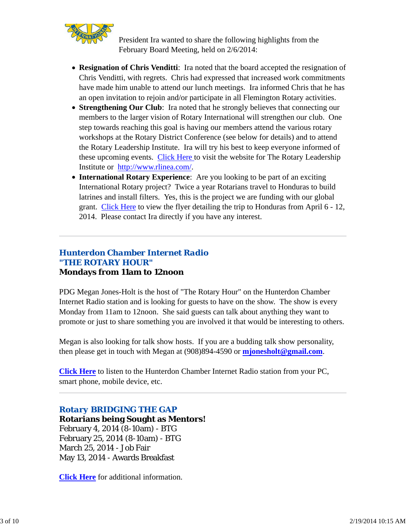

President Ira wanted to share the following highlights from the February Board Meeting, held on 2/6/2014:

- **Resignation of Chris Venditti**: Ira noted that the board accepted the resignation of Chris Venditti, with regrets. Chris had expressed that increased work commitments have made him unable to attend our lunch meetings. Ira informed Chris that he has an open invitation to rejoin and/or participate in all Flemington Rotary activities.
- **Strengthening Our Club**: Ira noted that he strongly believes that connecting our members to the larger vision of Rotary International will strengthen our club. One step towards reaching this goal is having our members attend the various rotary workshops at the Rotary District Conference (see below for details) and to attend the Rotary Leadership Institute. Ira will try his best to keep everyone informed of these upcoming events. Click Here to visit the website for The Rotary Leadership Institute or http://www.rlinea.com/.
- **International Rotary Experience**: Are you looking to be part of an exciting International Rotary project? Twice a year Rotarians travel to Honduras to build latrines and install filters. Yes, this is the project we are funding with our global grant. Click Here to view the flyer detailing the trip to Honduras from April 6 - 12, 2014. Please contact Ira directly if you have any interest.

## *Hunterdon Chamber Internet Radio "THE ROTARY HOUR"* **Mondays from 11am to 12noon**

PDG Megan Jones-Holt is the host of "The Rotary Hour" on the Hunterdon Chamber Internet Radio station and is looking for guests to have on the show. The show is every Monday from 11am to 12noon. She said guests can talk about anything they want to promote or just to share something you are involved it that would be interesting to others.

Megan is also looking for talk show hosts. If you are a budding talk show personality, then please get in touch with Megan at (908)894-4590 or **mjonesholt@gmail.com**.

**Click Here** to listen to the Hunterdon Chamber Internet Radio station from your PC, smart phone, mobile device, etc.

## *Rotary BRIDGING THE GAP*

**Rotarians being Sought as Mentors!** February 4, 2014 (8-10am) - BTG February 25, 2014 (8-10am) - BTG March 25, 2014 - Job Fair May 13, 2014 - Awards Breakfast

**Click Here** for additional information.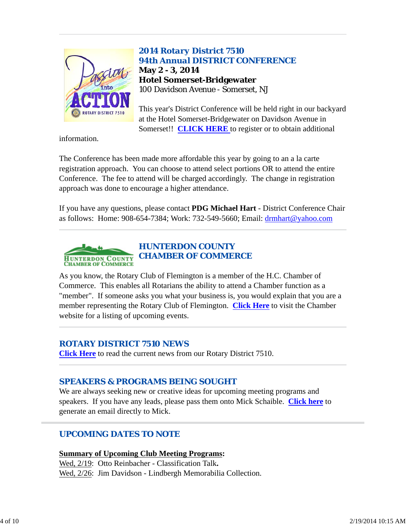

# *2014 Rotary District 7510 94th Annual DISTRICT CONFERENCE* **May 2 - 3, 2014 Hotel Somerset-Bridgewater** 100 Davidson Avenue - Somerset, NJ

This year's District Conference will be held right in our backyard at the Hotel Somerset-Bridgewater on Davidson Avenue in Somerset!! **CLICK HERE** to register or to obtain additional

information.

The Conference has been made more affordable this year by going to an a la carte registration approach. You can choose to attend select portions OR to attend the entire Conference. The fee to attend will be charged accordingly. The change in registration approach was done to encourage a higher attendance.

If you have any questions, please contact **PDG Michael Hart** - District Conference Chair as follows: Home: 908-654-7384; Work: 732-549-5660; Email: drmhart@yahoo.com



As you know, the Rotary Club of Flemington is a member of the H.C. Chamber of Commerce. This enables all Rotarians the ability to attend a Chamber function as a "member". If someone asks you what your business is, you would explain that you are a member representing the Rotary Club of Flemington. **Click Here** to visit the Chamber website for a listing of upcoming events.

## *ROTARY DISTRICT 7510 NEWS*

**Click Here** to read the current news from our Rotary District 7510.

# *SPEAKERS & PROGRAMS BEING SOUGHT*

We are always seeking new or creative ideas for upcoming meeting programs and speakers. If you have any leads, please pass them onto Mick Schaible. **Click here** to generate an email directly to Mick.

# *UPCOMING DATES TO NOTE*

**Summary of Upcoming Club Meeting Programs:**

Wed, 2/19: Otto Reinbacher - Classification Talk**.** Wed, 2/26: Jim Davidson - Lindbergh Memorabilia Collection.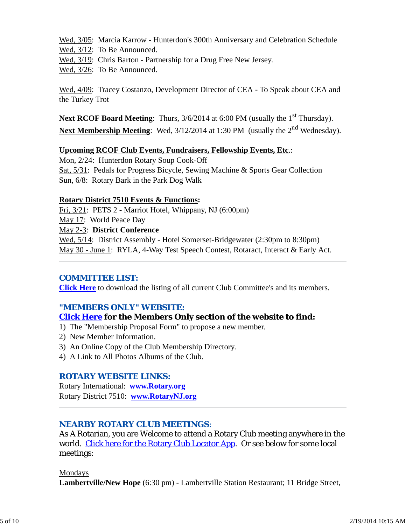Wed, 3/05: Marcia Karrow - Hunterdon's 300th Anniversary and Celebration Schedule Wed, 3/12: To Be Announced.

Wed,  $3/19$ : Chris Barton - Partnership for a Drug Free New Jersey.

Wed, 3/26: To Be Announced.

Wed, 4/09: Tracey Costanzo, Development Director of CEA - To Speak about CEA and the Turkey Trot

**Next RCOF Board Meeting**: Thurs, 3/6/2014 at 6:00 PM (usually the 1<sup>st</sup> Thursday). Next Membership Meeting: Wed, 3/12/2014 at 1:30 PM (usually the 2<sup>nd</sup> Wednesday).

#### **Upcoming RCOF Club Events, Fundraisers, Fellowship Events, Etc**.:

Mon, 2/24: Hunterdon Rotary Soup Cook-Off Sat, 5/31: Pedals for Progress Bicycle, Sewing Machine & Sports Gear Collection Sun, 6/8: Rotary Bark in the Park Dog Walk

#### **Rotary District 7510 Events & Functions:**

Fri, 3/21: PETS 2 - Marriot Hotel, Whippany, NJ (6:00pm) May 17: World Peace Day May 2-3: **District Conference** Wed,  $5/14$ : District Assembly - Hotel Somerset-Bridgewater (2:30pm to 8:30pm) May 30 - June 1: RYLA, 4-Way Test Speech Contest, Rotaract, Interact & Early Act.

## *COMMITTEE LIST:*

**Click Here** to download the listing of all current Club Committee's and its members.

## *"MEMBERS ONLY" WEBSITE:*

## **Click Here for the Members Only section of the website to find:**

- 1) The "Membership Proposal Form" to propose a new member.
- 2) New Member Information.
- 3) An Online Copy of the Club Membership Directory.
- 4) A Link to All Photos Albums of the Club.

## *ROTARY WEBSITE LINKS:*

Rotary International: **www.Rotary.org** Rotary District 7510: **www.RotaryNJ.org**

## *NEARBY ROTARY CLUB MEETINGS:*

As A Rotarian, you are Welcome to attend a Rotary Club meeting anywhere in the world. Click here for the Rotary Club Locator App. Or see below for some local meetings:

#### Mondays

**Lambertville/New Hope** (6:30 pm) - Lambertville Station Restaurant; 11 Bridge Street,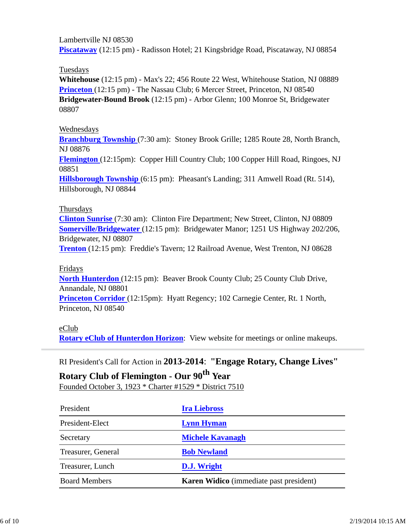Lambertville NJ 08530 **Piscataway** (12:15 pm) - Radisson Hotel; 21 Kingsbridge Road, Piscataway, NJ 08854

Tuesdays

**Whitehouse** (12:15 pm) - Max's 22; 456 Route 22 West, Whitehouse Station, NJ 08889 **Princeton** (12:15 pm) - The Nassau Club; 6 Mercer Street, Princeton, NJ 08540 **Bridgewater-Bound Brook** (12:15 pm) - Arbor Glenn; 100 Monroe St, Bridgewater 08807

## Wednesdays

**Branchburg Township** (7:30 am): Stoney Brook Grille; 1285 Route 28, North Branch, NJ 08876

**Flemington** (12:15pm): Copper Hill Country Club; 100 Copper Hill Road, Ringoes, NJ 08851

**Hillsborough Township** (6:15 pm): Pheasant's Landing; 311 Amwell Road (Rt. 514), Hillsborough, NJ 08844

#### Thursdays

**Clinton Sunrise** (7:30 am): Clinton Fire Department; New Street, Clinton, NJ 08809 **Somerville/Bridgewater** (12:15 pm): Bridgewater Manor; 1251 US Highway 202/206, Bridgewater, NJ 08807

**Trenton** (12:15 pm): Freddie's Tavern; 12 Railroad Avenue, West Trenton, NJ 08628

#### Fridays

**North Hunterdon** (12:15 pm): Beaver Brook County Club; 25 County Club Drive, Annandale, NJ 08801

**Princeton Corridor** (12:15pm): Hyatt Regency; 102 Carnegie Center, Rt. 1 North, Princeton, NJ 08540

## eClub

**Rotary eClub of Hunterdon Horizon**: View website for meetings or online makeups.

RI President's Call for Action in **2013-2014**: **"Engage Rotary, Change Lives"**

# **Rotary Club of Flemington - Our 90th Year** Founded October 3, 1923 \* Charter #1529 \* District 7510

| President            | <b>Ira Liebross</b>                            |  |
|----------------------|------------------------------------------------|--|
| President-Elect      | <b>Lynn Hyman</b>                              |  |
| Secretary            | <b>Michele Kavanagh</b>                        |  |
| Treasurer, General   | <b>Bob Newland</b>                             |  |
| Treasurer, Lunch     | D.J. Wright                                    |  |
| <b>Board Members</b> | <b>Karen Widico</b> (immediate past president) |  |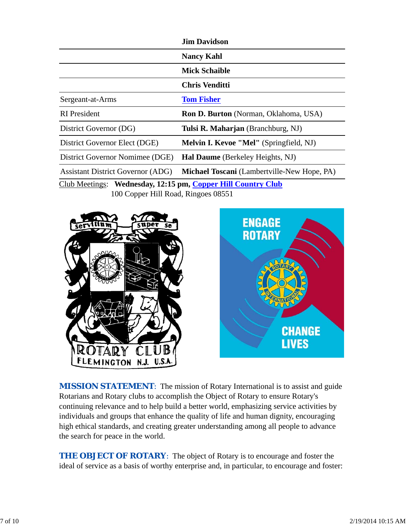|                                                              | <b>Jim Davidson</b>                                |  |
|--------------------------------------------------------------|----------------------------------------------------|--|
|                                                              | <b>Nancy Kahl</b>                                  |  |
|                                                              | <b>Mick Schaible</b>                               |  |
|                                                              | Chris Venditti                                     |  |
| Sergeant-at-Arms                                             | <b>Tom Fisher</b>                                  |  |
| <b>RI</b> President                                          | <b>Ron D. Burton</b> (Norman, Oklahoma, USA)       |  |
| District Governor (DG)                                       | Tulsi R. Maharjan (Branchburg, NJ)                 |  |
| District Governor Elect (DGE)                                | <b>Melvin I. Kevoe "Mel"</b> (Springfield, NJ)     |  |
| District Governor Nomimee (DGE)                              | <b>Hal Daume</b> (Berkeley Heights, NJ)            |  |
| <b>Assistant District Governor (ADG)</b>                     | <b>Michael Toscani</b> (Lambertville-New Hope, PA) |  |
| Club Meetings: Wednesday, 12:15 pm, Copper Hill Country Club |                                                    |  |

100 Copper Hill Road, Ringoes 08551





**MISSION STATEMENT:** The mission of Rotary International is to assist and guide Rotarians and Rotary clubs to accomplish the Object of Rotary to ensure Rotary's continuing relevance and to help build a better world, emphasizing service activities by individuals and groups that enhance the quality of life and human dignity, encouraging high ethical standards, and creating greater understanding among all people to advance the search for peace in the world.

**THE OBJECT OF ROTARY:** The object of Rotary is to encourage and foster the ideal of service as a basis of worthy enterprise and, in particular, to encourage and foster: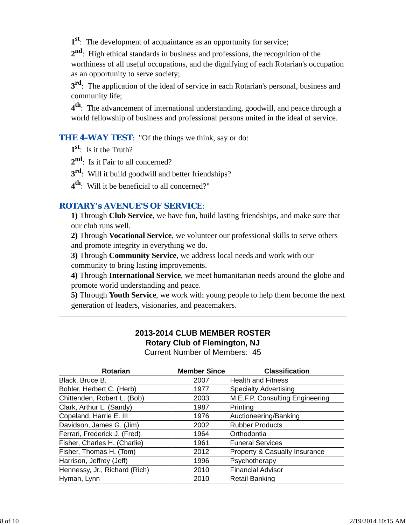**1st**: The development of acquaintance as an opportunity for service;

**2nd**: High ethical standards in business and professions, the recognition of the worthiness of all useful occupations, and the dignifying of each Rotarian's occupation as an opportunity to serve society;

**3rd**: The application of the ideal of service in each Rotarian's personal, business and community life;

**4th**: The advancement of international understanding, goodwill, and peace through a world fellowship of business and professional persons united in the ideal of service.

**THE 4-WAY TEST:** "Of the things we think, say or do:

**1st**: Is it the Truth?

2<sup>nd</sup>: Is it Fair to all concerned?

**3rd**: Will it build goodwill and better friendships?

**4th**: Will it be beneficial to all concerned?"

## *ROTARY's AVENUE'S OF SERVICE*:

**1)** Through **Club Service**, we have fun, build lasting friendships, and make sure that our club runs well.

**2)** Through **Vocational Service**, we volunteer our professional skills to serve others and promote integrity in everything we do.

**3)** Through **Community Service**, we address local needs and work with our community to bring lasting improvements.

**4)** Through **International Service**, we meet humanitarian needs around the globe and promote world understanding and peace.

**5)** Through **Youth Service**, we work with young people to help them become the next generation of leaders, visionaries, and peacemakers.

# **2013-2014 CLUB MEMBER ROSTER Rotary Club of Flemington, NJ**

Current Number of Members: 45

| <b>Member Since</b> | <b>Classification</b>                    |
|---------------------|------------------------------------------|
| 2007                | <b>Health and Fitness</b>                |
| 1977                | <b>Specialty Advertising</b>             |
| 2003                | M.E.F.P. Consulting Engineering          |
| 1987                | Printing                                 |
| 1976                | Auctioneering/Banking                    |
| 2002                | <b>Rubber Products</b>                   |
| 1964                | Orthodontia                              |
| 1961                | <b>Funeral Services</b>                  |
| 2012                | <b>Property &amp; Casualty Insurance</b> |
| 1996                | Psychotherapy                            |
| 2010                | <b>Financial Advisor</b>                 |
| 2010                | <b>Retail Banking</b>                    |
|                     |                                          |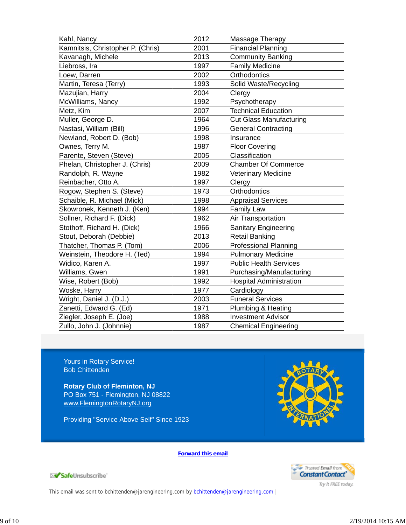| Kahl, Nancy                       | 2012 | Massage Therapy                |
|-----------------------------------|------|--------------------------------|
| Kamnitsis, Christopher P. (Chris) | 2001 | <b>Financial Planning</b>      |
| Kavanagh, Michele                 | 2013 | <b>Community Banking</b>       |
| Liebross, Ira                     | 1997 | <b>Family Medicine</b>         |
| Loew, Darren                      | 2002 | Orthodontics                   |
| Martin, Teresa (Terry)            | 1993 | Solid Waste/Recycling          |
| Mazujian, Harry                   | 2004 | Clergy                         |
| McWilliams, Nancy                 | 1992 | Psychotherapy                  |
| Metz, Kim                         | 2007 | <b>Technical Education</b>     |
| Muller, George D.                 | 1964 | <b>Cut Glass Manufacturing</b> |
| Nastasi, William (Bill)           | 1996 | <b>General Contracting</b>     |
| Newland, Robert D. (Bob)          | 1998 | Insurance                      |
| Ownes, Terry M.                   | 1987 | <b>Floor Covering</b>          |
| Parente, Steven (Steve)           | 2005 | Classification                 |
| Phelan, Christopher J. (Chris)    | 2009 | <b>Chamber Of Commerce</b>     |
| Randolph, R. Wayne                | 1982 | <b>Veterinary Medicine</b>     |
| Reinbacher, Otto A.               | 1997 | Clergy                         |
| Rogow, Stephen S. (Steve)         | 1973 | Orthodontics                   |
| Schaible, R. Michael (Mick)       | 1998 | <b>Appraisal Services</b>      |
| Skowronek, Kenneth J. (Ken)       | 1994 | <b>Family Law</b>              |
| Sollner, Richard F. (Dick)        | 1962 | Air Transportation             |
| Stothoff, Richard H. (Dick)       | 1966 | Sanitary Engineering           |
| Stout, Deborah (Debbie)           | 2013 | <b>Retail Banking</b>          |
| Thatcher, Thomas P. (Tom)         | 2006 | <b>Professional Planning</b>   |
| Weinstein, Theodore H. (Ted)      | 1994 | <b>Pulmonary Medicine</b>      |
| Widico, Karen A.                  | 1997 | <b>Public Health Services</b>  |
| Williams, Gwen                    | 1991 | Purchasing/Manufacturing       |
| Wise, Robert (Bob)                | 1992 | <b>Hospital Administration</b> |
| Woske, Harry                      | 1977 | Cardiology                     |
| Wright, Daniel J. (D.J.)          | 2003 | <b>Funeral Services</b>        |
| Zanetti, Edward G. (Ed)           | 1971 | Plumbing & Heating             |
| Ziegler, Joseph E. (Joe)          | 1988 | <b>Investment Advisor</b>      |
| Zullo, John J. (Johnnie)          | 1987 | <b>Chemical Engineering</b>    |

Yours in Rotary Service! Bob Chittenden

**Rotary Club of Fleminton, NJ** PO Box 751 - Flemington, NJ 08822 www.FlemingtonRotaryNJ.org

Providing "Service Above Self" Since 1923



**Forward this email**



Try it FREE today.

SafeUnsubscribe

This email was sent to bchittenden@jarengineering.com by bchittenden@jarengineering.com |